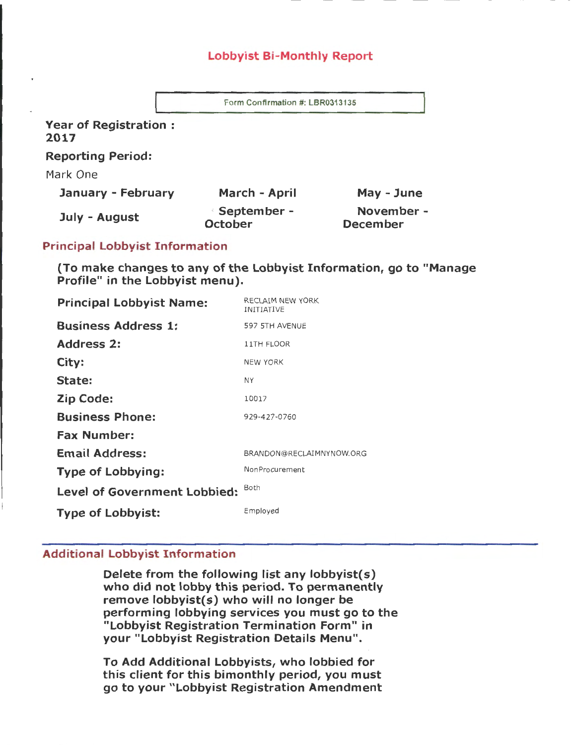### Lobbyist Bi-Monthly Report

Form Confirmation #: LBR0313135

Year of Registration : 2017

Reporting Period:

Mark One

| January - February | March - April                   | May - June                    |
|--------------------|---------------------------------|-------------------------------|
| July - August      | € September -<br><b>October</b> | November -<br><b>December</b> |

### Principal Lobbyist Information

(To make changes to any of the Lobbyist Information, go to "Manage Profile" in the Lobbyist menu).

| <b>Principal Lobbyist Name:</b>     | RECLAIM NEW YORK<br><b>INITIATIVE</b> |
|-------------------------------------|---------------------------------------|
| <b>Business Address 1:</b>          | 597 5TH AVENUE                        |
| <b>Address 2:</b>                   | 11TH FLOOR                            |
| City:                               | <b>NEW YORK</b>                       |
| State:                              | <b>NY</b>                             |
| <b>Zip Code:</b>                    | 10017                                 |
| <b>Business Phone:</b>              | 929-427-0760                          |
| <b>Fax Number:</b>                  |                                       |
| <b>Email Address:</b>               | BRANDON@RECLAIMNYNOW.ORG              |
| <b>Type of Lobbying:</b>            | NonProcurement                        |
| <b>Level of Government Lobbied:</b> | Both                                  |
| <b>Type of Lobbyist:</b>            | Employed                              |

### Additional Lobbyist Information

Delete from the following list any lobbyist(s) who did not lobby this period. To permanently remove lobbyist(s) who will no longer be performing lobbying services you must go to the "Lobbyist Registration Termination Form" in your "Lobbyist Registration Details Menu" .

To Add Additional Lobbyists, who lobbied for this client for this bimonthly period, you must go to your "Lobbyist Registration Amendment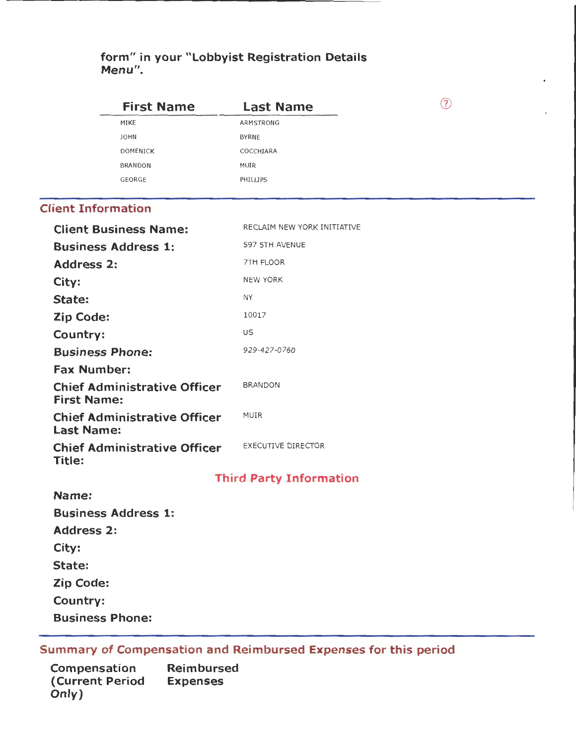## **form" in your "Lobbyist Registration Details Menu".**

| <b>First Name</b>                                         | <b>Last Name</b>               | ⊘ |
|-----------------------------------------------------------|--------------------------------|---|
| MIKE                                                      | ARMSTRONG                      |   |
| <b>JOHN</b>                                               | <b>BYRNE</b>                   |   |
| <b>DOMENICK</b>                                           | COCCHIARA                      |   |
| <b>BRANDON</b>                                            | MUIR                           |   |
| GEORGE                                                    | PHILLIPS                       |   |
| <b>Client Information</b>                                 |                                |   |
| <b>Client Business Name:</b>                              | RECLAIM NEW YORK INITIATIVE    |   |
| <b>Business Address 1:</b>                                | 597 5TH AVENUE                 |   |
| <b>Address 2:</b>                                         | 7TH FLOOR                      |   |
| City:                                                     | <b>NEW YORK</b>                |   |
| State:                                                    | NY.                            |   |
| <b>Zip Code:</b>                                          | 10017                          |   |
| Country:                                                  | US.                            |   |
| <b>Business Phone:</b>                                    | 929-427-0760                   |   |
| <b>Fax Number:</b>                                        |                                |   |
| <b>Chief Administrative Officer</b><br><b>First Name:</b> | <b>BRANDON</b>                 |   |
| <b>Chief Administrative Officer</b><br><b>Last Name:</b>  | MUIR                           |   |
| <b>Chief Administrative Officer</b><br>Title:             | <b>EXECUTIVE DIRECTOR</b>      |   |
|                                                           | <b>Third Party Information</b> |   |
| Name:                                                     |                                |   |
| <b>Business Address 1:</b>                                |                                |   |
| <b>Address 2:</b>                                         |                                |   |
| City:                                                     |                                |   |
| State:                                                    |                                |   |
| Zip Code:                                                 |                                |   |
| Country:                                                  |                                |   |
| <b>Business Phone:</b>                                    |                                |   |
|                                                           |                                |   |

# **Summary of Compensation and Reimbursed Expenses for this period**

**Compensation (Current Period Only) Reimbursed Expenses**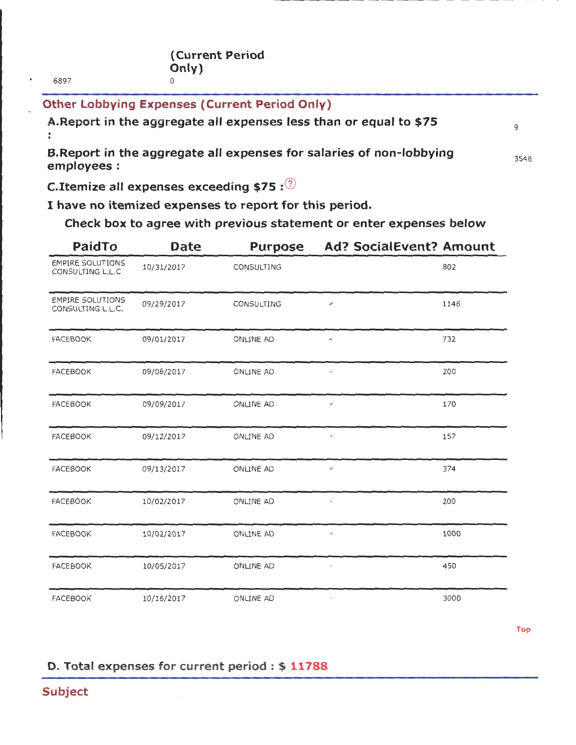6897

**Other Lobbying Expenses (Current Period Only)** 

**A.Report in the aggregate all expenses less than or equal to \$75**  ÷

**B.Report in the aggregate all expenses for salaries of non-lobbying employees:** 

**C.Itemize all expenses exceeding \$75 : 2** 

**I have no itemized expenses to report for this period.** 

**Check box to agree with previous statement or enter expenses below** 

| PaidTo                                       | Date       | <b>Purpose</b>   | <b>Ad? SocialEvent? Amount</b> |  |
|----------------------------------------------|------------|------------------|--------------------------------|--|
| <b>EMPIRE SOLUTIONS</b><br>CONSULTING L.L.C  | 10/31/2017 | CONSULTING       | 802                            |  |
| <b>EMPIRE SOLUTIONS</b><br>CONSULTING L.L.C. | 09/29/2017 | CONSULTING       | 1146<br>š                      |  |
| <b>FACEBOOK</b>                              | 09/01/2017 | <b>ONLINE AD</b> | 732<br>nb.                     |  |
| <b>FACEBOOK</b>                              | 09/06/2017 | ONLINE AD        | 200<br>ú,                      |  |
| <b>FACEBOOK</b>                              | 09/09/2017 | ONLINE AD        | 170<br>s.                      |  |
| <b>FACEBOOK</b>                              | 09/12/2017 | ONLINE AD        | 157<br>$\eta \delta'$          |  |
| <b>FACEBOOK</b>                              | 09/13/2017 | ONLINE AD        | $\omega^i$<br>374              |  |
| <b>FACEBOOK</b>                              | 10/02/2017 | ONLINE AD        | 200<br>ú,                      |  |
| <b>FACEBOOK</b>                              | 10/02/2017 | ONLINE AD        | $\mathcal{A}$<br>1000          |  |
| <b>FACEBOOK</b>                              | 10/05/2017 | <b>ONLINE AD</b> | 450<br>$\psi^{\prime}$         |  |
| <b>FACEBOOK</b>                              | 10/16/2017 | ONLINE AD        | 3000<br>$\epsilon^2$           |  |

**Top** 

9

3548

# **D. Total expenses for current period** : \$ **11788**

**Subject**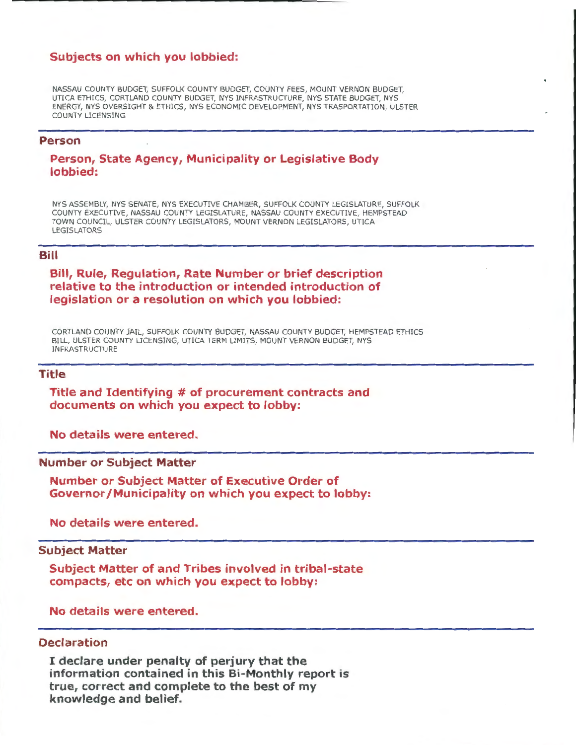#### **Subjects on which you lobbied:**

NASSAU COUNTY BUDGET, SUFFOLK COUNTY BUDGET, COUNTY FEES, MOUNT VERNON BUDGET, UTICA ETHICS, CORTLAND COUNTY BUDGET, NYS INFRASTRUCTURE, NYS STATE BUDGET, NYS ENERGY, NYS OVERSIGHT & ETHICS, NYS ECONOMIC DEVELOPMENT, NYS TRASPORTATION, ULSTER COUNTY LICENSING

#### **Person**

### **Person, State Agency, Municipality or Legislative Body lobbied:**

NYS ASSEMBLY, NYS SENATE, NYS EXECUTIVE CHAMBER, SUFFOLK COUNTY LEGISLATURE, SUFFOLK COUNTY EXECUTIVE, NASSAU COUNTY LEGISLATURE, NASSAU COUNTY EXECUTIVE, HEMPSTEAD TOWN COUNCIL, ULSTER COUNTY LEGISLATORS, MOUNT VERNON LEGISLATORS, UTICA LEGISLATORS

#### **Bill**

**Bill, Rule, Regulation, Rate Number or brief description relative to the introduction or intended introduction of legislation or a resolution on which you lobbied:** 

CORTLAND COUNTY JAIL, SUFFOLK COUNTY BUDGET, NASSAU COUNTY BUDGET, HEMPSTEAD ETHICS BILL, ULSTER COUNTY LICENSING, UTICA TERM LIMITS, MOUNT VERNON BUDGET, NYS INFRASTRUCTURE

#### **Title**

**Title and Identifying # of procurement contracts and documents on which you expect to lobby:** 

**No details were entered.** 

#### **Number or Subject Matter**

**Number or Subject Matter of Executive Order of Governor/Municipality on which you expect to lobby:** 

**No details were entered.** 

#### **Subject Matter**

**Subject Matter of and Tribes involved in tribal-state compacts, etc on which you expect to lobby:** 

**No details were entered.** 

### **Declaration**

I **declare under penalty of perjury that the information contained in this Bi-Monthly report is true, correct and complete to the best of my knowledge and belief.**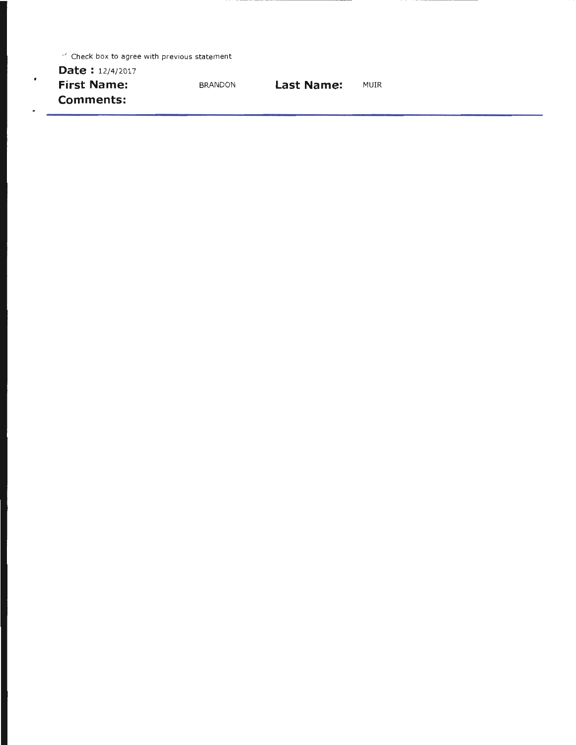$\leq$  Check box to agree with previous statement

**Date** : 12/4/2017

 $\bullet$ 

| <b>First Name:</b> | <b>BRANDON</b> | <b>Last Name:</b> | MUIR |
|--------------------|----------------|-------------------|------|
| <b>Comments:</b>   |                |                   |      |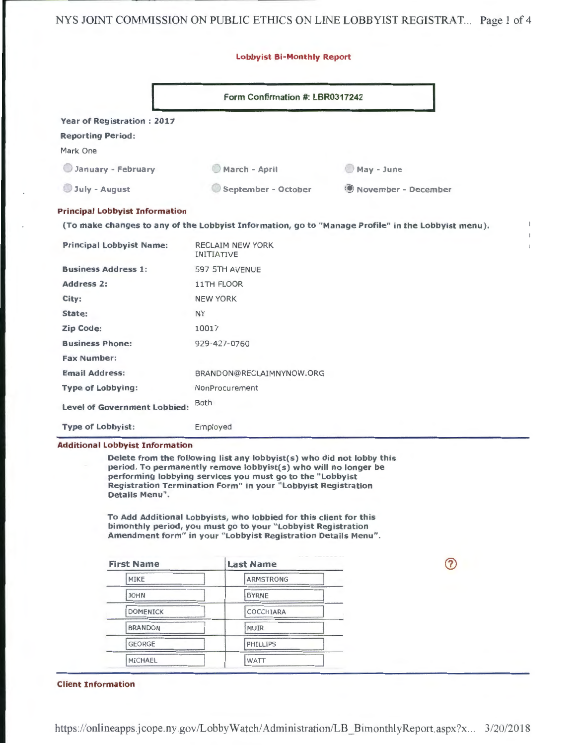#### NYS JOINT COMMISSION ON PUBLIC ETHICS ON LINE LOBBYIST REGISTRAT. .. Page l of 4

#### Lobbyist Bi-Monthly Report

| Form Confirmation #: LBR0317242       |                         |                                                                                                    |  |  |
|---------------------------------------|-------------------------|----------------------------------------------------------------------------------------------------|--|--|
| Year of Registration: 2017            |                         |                                                                                                    |  |  |
| <b>Reporting Period:</b>              |                         |                                                                                                    |  |  |
| Mark One                              |                         |                                                                                                    |  |  |
| January - February                    | March - April           | May - June                                                                                         |  |  |
| July - August                         | September - October     | November - December                                                                                |  |  |
| <b>Principal Lobbyist Information</b> |                         |                                                                                                    |  |  |
|                                       |                         | (To make changes to any of the Lobbyist Information, go to "Manage Profile" in the Lobbyist menu). |  |  |
| <b>Principal Lobbyist Name:</b>       | <b>RECLAIM NEW YORK</b> |                                                                                                    |  |  |

|                                     | <b>INITIATIVE</b>        |
|-------------------------------------|--------------------------|
| <b>Business Address 1:</b>          | 597 5TH AVENUE           |
| Address 2:                          | 11TH FLOOR               |
| City:                               | <b>NEW YORK</b>          |
| State:                              | <b>NY</b>                |
| <b>Zip Code:</b>                    | 10017                    |
| <b>Business Phone:</b>              | 929-427-0760             |
| <b>Fax Number:</b>                  |                          |
| <b>Email Address:</b>               | BRANDON@RECLAIMNYNOW.ORG |
| <b>Type of Lobbying:</b>            | NonProcurement           |
| <b>Level of Government Lobbied:</b> | Both                     |
|                                     |                          |

Type of Lobbyist: Employed

#### Additional Lobbyist Information

Delete from the following list any lobbyist(s) who did not lobby this period. To permanently remove lobbyist(s) who will no longer be performing lobbying services you must go to the "Lobbyist Registration Termination Form" in your " Lobbyist Registration Details Menu".

To Add Additional Lobbyists, who lobbied for this client for this bimonthly period, you must go to your " Lobbyist Registration Amendment form" in your "Lobbyist Registration Details Menu".

| <b>First Name</b> | <b>Last Name</b> |  |  |
|-------------------|------------------|--|--|
| MIKE              | <b>ARMSTRONG</b> |  |  |
| <b>JOHN</b>       | <b>BYRNE</b>     |  |  |
| <b>DOMENICK</b>   | COCCHIARA        |  |  |
| <b>BRANDON</b>    | <b>MUIR</b>      |  |  |
| <b>GEORGE</b>     | <b>PHILLIPS</b>  |  |  |
| MICHAEL           | WATT             |  |  |

Client Information

 $\circledR$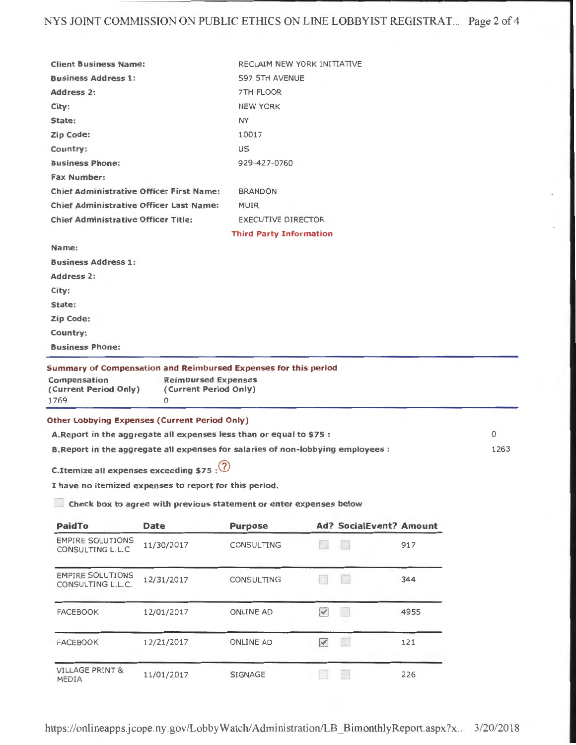| <b>Client Business Name:</b>                                         | RECLAIM NEW YORK INITIATIVE                                                      |          |
|----------------------------------------------------------------------|----------------------------------------------------------------------------------|----------|
| <b>Business Address 1:</b>                                           | 597 5TH AVENUE                                                                   |          |
| <b>Address 2:</b>                                                    | <b>7TH FLOOR</b>                                                                 |          |
| City:                                                                | <b>NEW YORK</b>                                                                  |          |
| State:                                                               | <b>NY</b>                                                                        |          |
| Zip Code:                                                            | 10017                                                                            |          |
| Country:                                                             | US                                                                               |          |
| <b>Business Phone:</b>                                               | 929-427-0760                                                                     |          |
| <b>Fax Number:</b>                                                   |                                                                                  |          |
| <b>Chief Administrative Officer First Name:</b>                      | <b>BRANDON</b>                                                                   |          |
| <b>Chief Administrative Officer Last Name:</b>                       | <b>MUIR</b>                                                                      |          |
| <b>Chief Administrative Officer Title:</b>                           | EXECUTIVE DIRECTOR                                                               |          |
|                                                                      | <b>Third Party Information</b>                                                   |          |
| Name:                                                                |                                                                                  |          |
| <b>Business Address 1:</b>                                           |                                                                                  |          |
| <b>Address 2:</b>                                                    |                                                                                  |          |
| City:                                                                |                                                                                  |          |
| State:                                                               |                                                                                  |          |
| Zip Code:                                                            |                                                                                  |          |
| Country:                                                             |                                                                                  |          |
| <b>Business Phone:</b>                                               |                                                                                  |          |
| Summary of Compensation and Reimbursed Expenses for this period      |                                                                                  |          |
| Compensation<br><b>Reimbursed Expenses</b>                           |                                                                                  |          |
| (Current Period Only)<br>(Current Period Only)<br>1769<br>0          |                                                                                  |          |
|                                                                      |                                                                                  |          |
| <b>Other Lobbying Expenses (Current Period Only)</b>                 |                                                                                  |          |
| A. Report in the aggregate all expenses less than or equal to \$75 : |                                                                                  | $\Omega$ |
|                                                                      | B. Report in the aggregate all expenses for salaries of non-lobbying employees : | 1263     |
| C.Itemize all expenses exceeding \$75 : $\left($ $\right)$           |                                                                                  |          |
| I have no itemized expenses to report for this period.               |                                                                                  |          |

Check box to agree with previous statement or enter expenses below

| <b>PaidTo</b>                                | <b>Date</b> | <b>Purpose</b>   |               | <b>Ad? SocialEvent? Amount</b> |      |
|----------------------------------------------|-------------|------------------|---------------|--------------------------------|------|
| <b>EMPIRE SOLUTIONS</b><br>CONSULTING L.L.C  | 11/30/2017  | CONSULTING       |               |                                | 917  |
| <b>EMPIRE SOLUTIONS</b><br>CONSULTING L.L.C. | 12/31/2017  | CONSULTING       |               |                                | 344  |
| <b>FACEBOOK</b>                              | 12/01/2017  | <b>ONLINE AD</b> | W             | Ð                              | 4955 |
| <b>FACEBOOK</b>                              | 12/21/2017  | <b>ONLINE AD</b> | $\mathcal{A}$ |                                | 121  |
| <b>VILLAGE PRINT &amp;</b><br><b>MEDIA</b>   | 11/01/2017  | <b>SIGNAGE</b>   |               | m                              | 226  |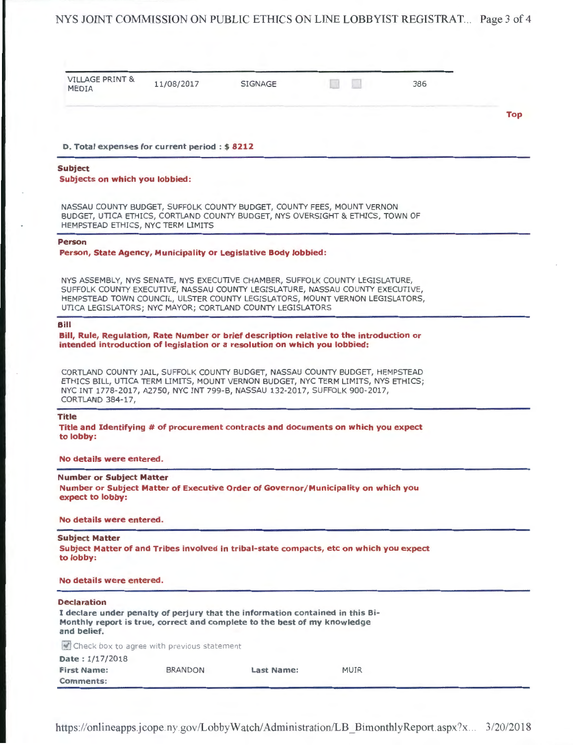# NYS JOINT COMMISSION ON PUBLIC ETHICS ON LINE LOBBYIST REGISTRAT... Page 3 of 4

| VILLAGE PRINT &<br><b>MEDIA</b>                                                                                                                                                                | 11/08/2017     | <b>SIGNAGE</b>                                                                                                                                                                                                                                                                                             |             | 386 |     |
|------------------------------------------------------------------------------------------------------------------------------------------------------------------------------------------------|----------------|------------------------------------------------------------------------------------------------------------------------------------------------------------------------------------------------------------------------------------------------------------------------------------------------------------|-------------|-----|-----|
|                                                                                                                                                                                                |                |                                                                                                                                                                                                                                                                                                            |             |     | Тор |
| D. Total expenses for current period: \$8212                                                                                                                                                   |                |                                                                                                                                                                                                                                                                                                            |             |     |     |
| <b>Subject</b><br>Subjects on which you lobbied:                                                                                                                                               |                |                                                                                                                                                                                                                                                                                                            |             |     |     |
| HEMPSTEAD ETHICS, NYC TERM LIMITS                                                                                                                                                              |                | NASSAU COUNTY BUDGET, SUFFOLK COUNTY BUDGET, COUNTY FEES, MOUNT VERNON<br>BUDGET, UTICA ETHICS, CORTLAND COUNTY BUDGET, NYS OVERSIGHT & ETHICS, TOWN OF                                                                                                                                                    |             |     |     |
| <b>Person</b><br>Person, State Agency, Municipality or Legislative Body lobbied:                                                                                                               |                |                                                                                                                                                                                                                                                                                                            |             |     |     |
|                                                                                                                                                                                                |                | NYS ASSEMBLY, NYS SENATE, NYS EXECUTIVE CHAMBER, SUFFOLK COUNTY LEGISLATURE,<br>SUFFOLK COUNTY EXECUTIVE, NASSAU COUNTY LEGISLATURE, NASSAU COUNTY EXECUTIVE,<br>HEMPSTEAD TOWN COUNCIL, ULSTER COUNTY LEGISLATORS, MOUNT VERNON LEGISLATORS,<br>UTICA LEGISLATORS; NYC MAYOR; CORTLAND COUNTY LEGISLATORS |             |     |     |
| Bill<br>Bill, Rule, Regulation, Rate Number or brief description relative to the introduction or<br>intended introduction of legislation or a resolution on which you lobbied:                 |                |                                                                                                                                                                                                                                                                                                            |             |     |     |
| CORTLAND 384-17,                                                                                                                                                                               |                | CORTLAND COUNTY JAIL, SUFFOLK COUNTY BUDGET, NASSAU COUNTY BUDGET, HEMPSTEAD<br>ETHICS BILL, UTICA TERM LIMITS, MOUNT VERNON BUDGET, NYC TERM LIMITS, NYS ETHICS;<br>NYC INT 1778-2017, A2750, NYC INT 799-B, NASSAU 132-2017, SUFFOLK 900-2017,                                                           |             |     |     |
| <b>Title</b><br>Title and Identifying # of procurement contracts and documents on which you expect<br>to lobby:<br>No details were entered.                                                    |                |                                                                                                                                                                                                                                                                                                            |             |     |     |
| <b>Number or Subject Matter</b>                                                                                                                                                                |                |                                                                                                                                                                                                                                                                                                            |             |     |     |
| Number or Subject Matter of Executive Order of Governor/Municipality on which you<br>expect to lobby:                                                                                          |                |                                                                                                                                                                                                                                                                                                            |             |     |     |
| No details were entered.                                                                                                                                                                       |                |                                                                                                                                                                                                                                                                                                            |             |     |     |
| <b>Subject Matter</b><br>Subject Matter of and Tribes involved in tribal-state compacts, etc on which you expect<br>to lobby:                                                                  |                |                                                                                                                                                                                                                                                                                                            |             |     |     |
| No details were entered.                                                                                                                                                                       |                |                                                                                                                                                                                                                                                                                                            |             |     |     |
| <b>Declaration</b><br>I declare under penalty of perjury that the information contained in this Bi-<br>Monthly report is true, correct and complete to the best of my knowledge<br>and belief. |                |                                                                                                                                                                                                                                                                                                            |             |     |     |
| Check box to agree with previous statement                                                                                                                                                     |                |                                                                                                                                                                                                                                                                                                            |             |     |     |
| <b>Date:</b> $1/17/2018$<br><b>First Name:</b><br>Comments:                                                                                                                                    | <b>BRANDON</b> | Last Name:                                                                                                                                                                                                                                                                                                 | <b>MUIR</b> |     |     |
|                                                                                                                                                                                                |                |                                                                                                                                                                                                                                                                                                            |             |     |     |

https://onlineapps.jcope.ny.gov/LobbyWatch/ Administration/LB \_ BimonthlyReport.aspx?x. .. 3/20/2018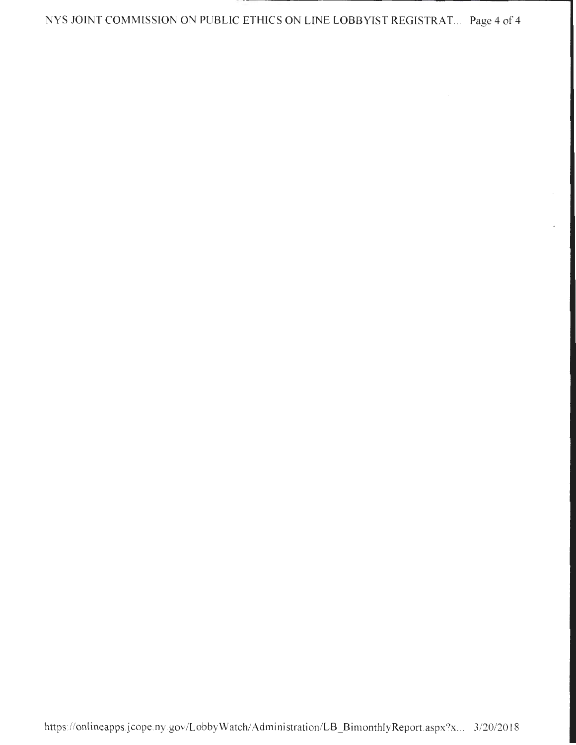# NYS JOINT COMMISSION ON PUBLIC ETHICS ON LINE LOBBYIST REGISTRAT. .. Page 4 of 4